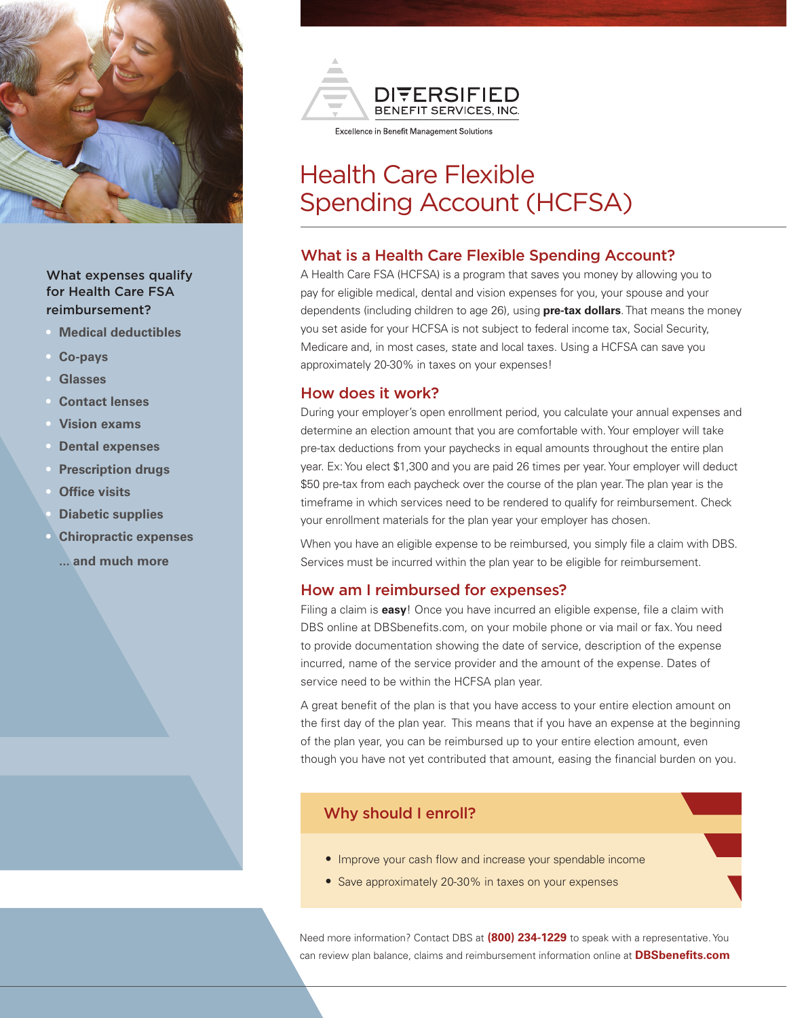

# What expenses qualify for Health Care FSA reimbursement?

- **• Medical deductibles**
- **• Co-pays**
- **• Glasses**
- **• Contact lenses**
- **• Vision exams**
- **• Dental expenses**
- **• Prescription drugs**
- **• Office visits**
- **• Diabetic supplies**
- **• Chiropractic expenses**
	- **... and much more**



# Health Care Flexible Spending Account (HCFSA)

#### What is a Health Care Flexible Spending Account?

A Health Care FSA (HCFSA) is a program that saves you money by allowing you to pay for eligible medical, dental and vision expenses for you, your spouse and your dependents (including children to age 26), using **pre-tax dollars**. That means the money you set aside for your HCFSA is not subject to federal income tax, Social Security, Medicare and, in most cases, state and local taxes. Using a HCFSA can save you approximately 20-30% in taxes on your expenses!

### How does it work?

During your employer's open enrollment period, you calculate your annual expenses and determine an election amount that you are comfortable with. Your employer will take pre-tax deductions from your paychecks in equal amounts throughout the entire plan year. Ex: You elect \$1,300 and you are paid 26 times per year. Your employer will deduct \$50 pre-tax from each paycheck over the course of the plan year. The plan year is the timeframe in which services need to be rendered to qualify for reimbursement. Check your enrollment materials for the plan year your employer has chosen.

When you have an eligible expense to be reimbursed, you simply file a claim with DBS. Services must be incurred within the plan year to be eligible for reimbursement.

#### How am I reimbursed for expenses?

Filing a claim is **easy**! Once you have incurred an eligible expense, file a claim with DBS online at DBSbenefits.com, on your mobile phone or via mail or fax. You need to provide documentation showing the date of service, description of the expense incurred, name of the service provider and the amount of the expense. Dates of service need to be within the HCFSA plan year.

A great benefit of the plan is that you have access to your entire election amount on the first day of the plan year. This means that if you have an expense at the beginning of the plan year, you can be reimbursed up to your entire election amount, even though you have not yet contributed that amount, easing the financial burden on you.

# Why should I enroll?

- Improve your cash flow and increase your spendable income
- Save approximately 20-30% in taxes on your expenses

Need more information? Contact DBS at **(800) 234-1229** to speak with a representative. You can review plan balance, claims and reimbursement information online at **DBSbenefits.com**